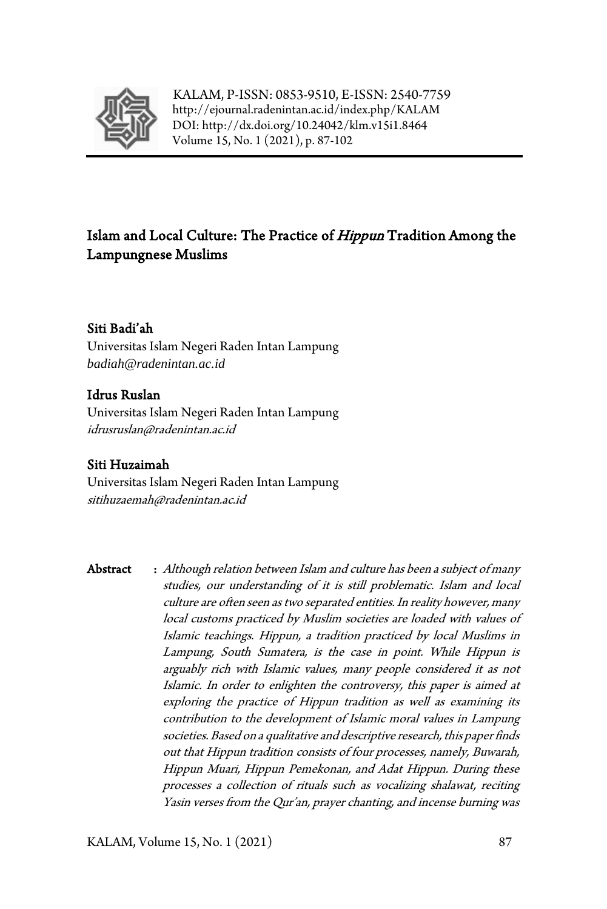

KALAM, P-ISSN: 0853-9510, E-ISSN: 2540-7759 <http://ejournal.radenintan.ac.id/index.php/KALAM> DOI: <http://dx.doi.org/10.24042/klm.v15i1.8464> Volume 15, No. 1 (2021), p. 87-102

# Islam and Local Culture: The Practice of *Hippun* Tradition Among the Lampungnese Muslims

## Siti Badi'ah

Universitas Islam Negeri Raden Intan Lampung *[badiah@radenintan.ac.id](mailto:badiah@radenintan.ac.id)*

## Idrus Ruslan

Universitas Islam Negeri Raden Intan Lampung idrusruslan@radenintan.ac.id

## Siti Huzaimah

Universitas Islam Negeri Raden Intan Lampung sitihuzaemah@radenintan.ac.id

Abstract : Although relation between Islam and culture has been a subject of many studies, our understanding of it is still problematic. Islam and local culture are often seen as two separated entities. In reality however, many local customs practiced by Muslim societies are loaded with values of Islamic teachings. Hippun, a tradition practiced by local Muslims in Lampung, South Sumatera, is the case in point. While Hippun is arguably rich with Islamic values, many people considered it as not Islamic. In order to enlighten the controversy, this paper is aimed at exploring the practice of Hippun tradition as well as examining its contribution to the development of Islamic moral values in Lampung societies. Based on a qualitative and descriptive research, this paper finds out that Hippun tradition consists of four processes, namely, Buwarah, Hippun Muari, Hippun Pemekonan, and Adat Hippun. During these processes a collection of rituals such as vocalizing shalawat, reciting Yasin verses from the Qur'an, prayer chanting, and incense burning was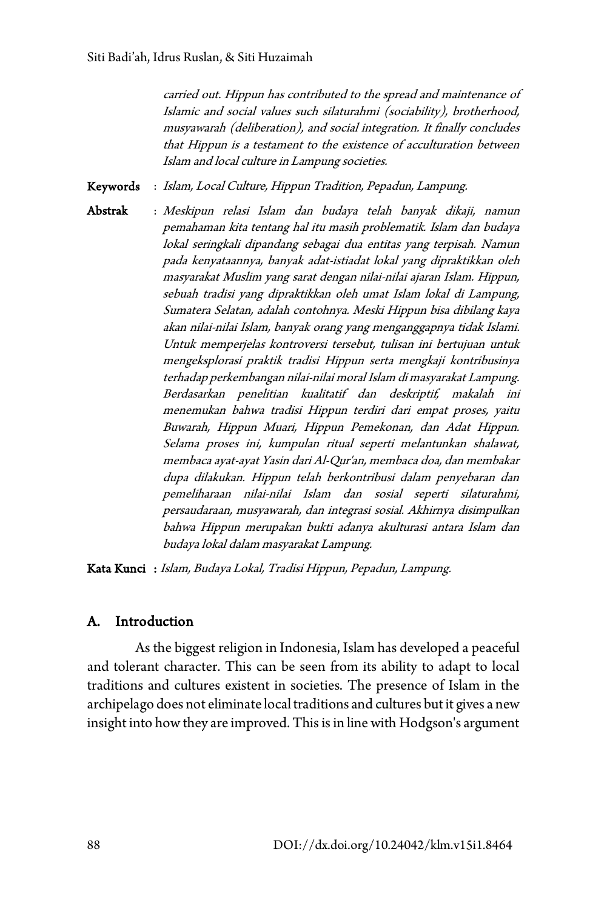carried out. Hippun has contributed to the spread and maintenance of Islamic and social values such silaturahmi (sociability), brotherhood, musyawarah (deliberation), and social integration. It finally concludes that Hippun is a testament to the existence of acculturation between Islam and local culture in Lampung societies.

Keywords : Islam, Local Culture, Hippun Tradition, Pepadun, Lampung.

Abstrak : Meskipun relasi Islam dan budaya telah banyak dikaji, namun pemahaman kita tentang hal itu masih problematik. Islam dan budaya lokal seringkali dipandang sebagai dua entitas yang terpisah. Namun pada kenyataannya, banyak adat-istiadat lokal yang dipraktikkan oleh masyarakat Muslim yang sarat dengan nilai-nilai ajaran Islam. Hippun, sebuah tradisi yang dipraktikkan oleh umat Islam lokal di Lampung, Sumatera Selatan, adalah contohnya. Meski Hippun bisa dibilang kaya akan nilai-nilai Islam, banyak orang yang menganggapnya tidak Islami. Untuk memperjelas kontroversi tersebut, tulisan ini bertujuan untuk mengeksplorasi praktik tradisi Hippun serta mengkaji kontribusinya terhadap perkembangan nilai-nilai moral Islam di masyarakat Lampung. Berdasarkan penelitian kualitatif dan deskriptif, makalah ini menemukan bahwa tradisi Hippun terdiri dari empat proses, yaitu Buwarah, Hippun Muari, Hippun Pemekonan, dan Adat Hippun. Selama proses ini, kumpulan ritual seperti melantunkan shalawat, membaca ayat-ayat Yasin dari Al-Qur'an, membaca doa, dan membakar dupa dilakukan. Hippun telah berkontribusi dalam penyebaran dan pemeliharaan nilai-nilai Islam dan sosial seperti silaturahmi, persaudaraan, musyawarah, dan integrasi sosial. Akhirnya disimpulkan bahwa Hippun merupakan bukti adanya akulturasi antara Islam dan budaya lokal dalam masyarakat Lampung.

Kata Kunci : Islam, Budaya Lokal, Tradisi Hippun, Pepadun, Lampung.

## A. Introduction

As the biggest religion in Indonesia, Islam has developed a peaceful and tolerant character. This can be seen from its ability to adapt to local traditions and cultures existent in societies. The presence of Islam in the archipelago does not eliminate local traditions and cultures but it gives a new insight into how they are improved. This is in line with Hodgson's argument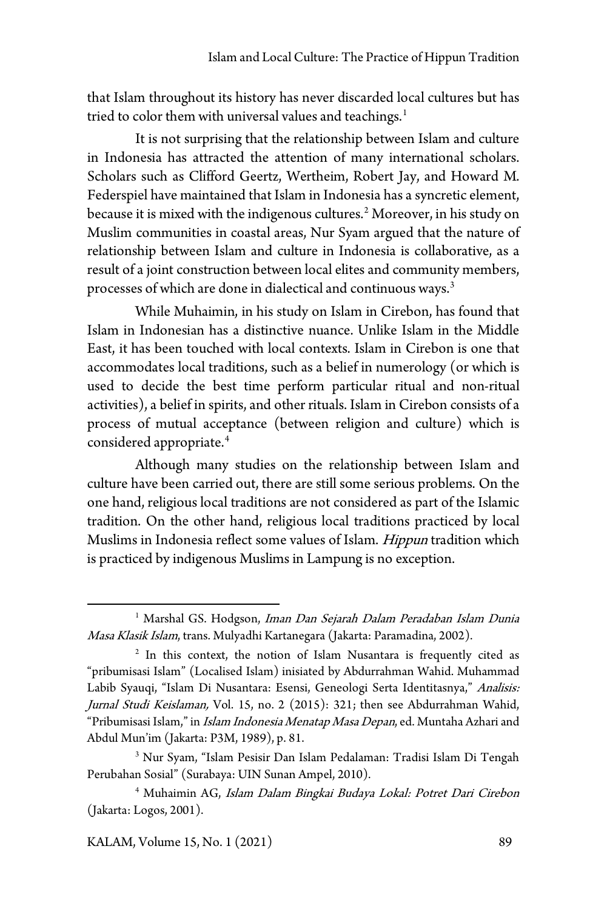that Islam throughout its history has never discarded local cultures but has tried to color them with universal values and teachings. [1](#page-2-0)

It is not surprising that the relationship between Islam and culture in Indonesia has attracted the attention of many international scholars. Scholars such as Clifford Geertz, Wertheim, Robert Jay, and Howard M. Federspiel have maintained that Islam in Indonesia has a syncretic element, because it is mixed with the indigenous cultures. [2](#page-2-1) Moreover, in his study on Muslim communities in coastal areas, Nur Syam argued that the nature of relationship between Islam and culture in Indonesia is collaborative, as a result of a joint construction between local elites and community members, processes of which are done in dialectical and continuous ways. [3](#page-2-2)

While Muhaimin, in his study on Islam in Cirebon, has found that Islam in Indonesian has a distinctive nuance. Unlike Islam in the Middle East, it has been touched with local contexts. Islam in Cirebon is one that accommodates local traditions, such as a belief in numerology (or which is used to decide the best time perform particular ritual and non-ritual activities), a belief in spirits, and other rituals. Islam in Cirebon consists of a process of mutual acceptance (between religion and culture) which is considered appropriate. [4](#page-2-3)

Although many studies on the relationship between Islam and culture have been carried out, there are still some serious problems. On the one hand, religious local traditions are not considered as part of the Islamic tradition. On the other hand, religious local traditions practiced by local Muslims in Indonesia reflect some values of Islam. Hippun tradition which is practiced by indigenous Muslims in Lampung is no exception.

KALAM, Volume 15, No. 1 (2021) 89

<span id="page-2-0"></span><sup>&</sup>lt;sup>1</sup> Marshal GS. Hodgson, *Iman Dan Sejarah Dalam Peradaban Islam Dunia* Masa Klasik Islam, trans. Mulyadhi Kartanegara (Jakarta: Paramadina, 2002).

<span id="page-2-1"></span><sup>&</sup>lt;sup>2</sup> In this context, the notion of Islam Nusantara is frequently cited as "pribumisasi Islam" (Localised Islam) inisiated by Abdurrahman Wahid. Muhammad Labib Syauqi, "Islam Di Nusantara: Esensi, Geneologi Serta Identitasnya," Analisis: Jurnal Studi Keislaman, Vol. 15, no. 2 (2015): 321; then see Abdurrahman Wahid, "Pribumisasi Islam," in *Islam Indonesia Menatap Masa Depan*, ed. Muntaha Azhari and Abdul Mun'im (Jakarta: P3M, 1989), p. 81.

<span id="page-2-2"></span><sup>3</sup> Nur Syam, "Islam Pesisir Dan Islam Pedalaman: Tradisi Islam Di Tengah Perubahan Sosial" (Surabaya: UIN Sunan Ampel, 2010).

<span id="page-2-3"></span><sup>4</sup> Muhaimin AG, Islam Dalam Bingkai Budaya Lokal: Potret Dari Cirebon (Jakarta: Logos, 2001).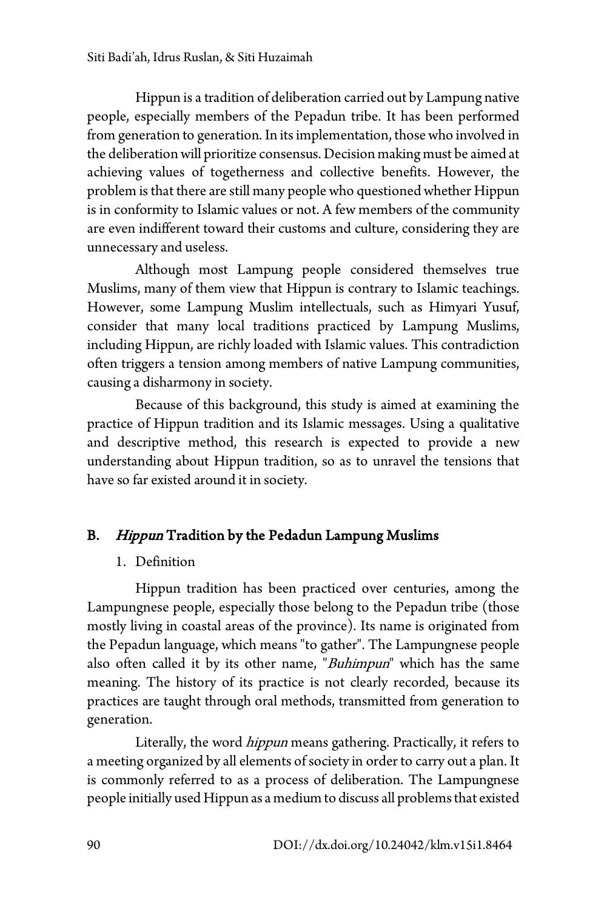Hippun is a tradition of deliberation carried out by Lampung native people, especially members of the Pepadun tribe. It has been performed from generation to generation. In its implementation, those who involved in the deliberation will prioritize consensus. Decision making must be aimed at achieving values of togetherness and collective benefits. However, the problem is that there are still many people who questionedwhether Hippun is in conformity to Islamic values or not. A few members of the community are even indifferent toward their customs and culture, considering they are unnecessary and useless.

Although most Lampung people considered themselves true Muslims, many of them view that Hippun is contrary to Islamic teachings. However, some Lampung Muslim intellectuals, such as Himyari Yusuf, consider that many local traditions practiced by Lampung Muslims, including Hippun, are richly loaded with Islamic values. This contradiction often triggers a tension among members of native Lampung communities, causing a disharmony in society.

Because of this background, this study is aimed at examining the practice of Hippun tradition and its Islamic messages. Using a qualitative and descriptive method, this research is expected to provide a new understanding about Hippun tradition, so as to unravel the tensions that have so far existed around it in society.

# B. Hippun Tradition by the Pedadun Lampung Muslims

## 1. Definition

Hippun tradition has been practiced over centuries, among the Lampungnese people, especially those belong to the Pepadun tribe (those mostly living in coastal areas of the province). Its name is originated from the Pepadun language, which means "to gather". The Lampungnese people also often called it by its other name, "Buhimpun" which has the same meaning. The history of its practice is not clearly recorded, because its practices are taught through oral methods, transmitted from generation to generation.

Literally, the word *hippun* means gathering. Practically, it refers to a meeting organized by all elements of society in order to carry out a plan. It is commonly referred to as a process of deliberation. The Lampungnese people initially used Hippun as a medium to discuss all problems that existed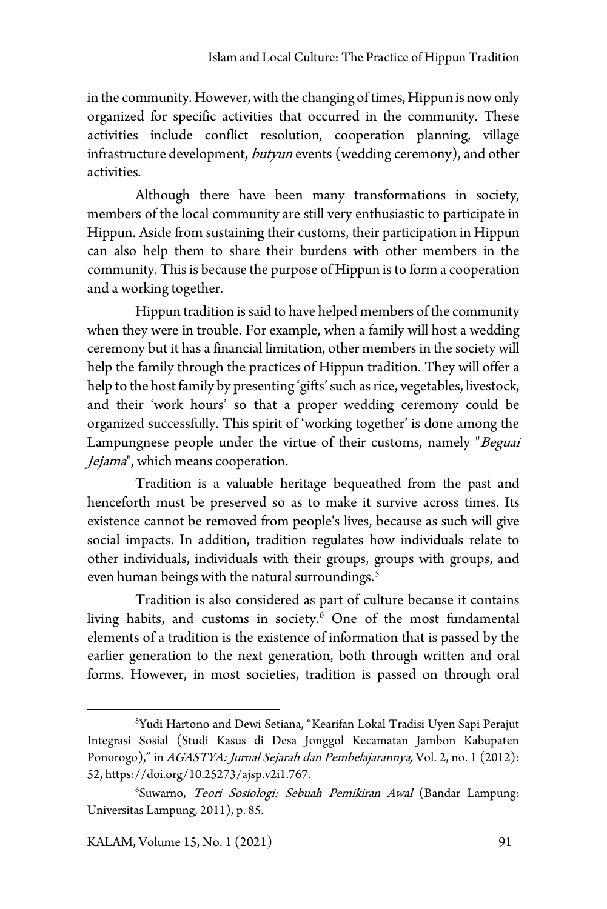in the community. However, with the changing of times, Hippun is now only organized for specific activities that occurred in the community. These activities include conflict resolution, cooperation planning, village infrastructure development, *butyun* events (wedding ceremony), and other activities.

Although there have been many transformations in society, members of the local community are still very enthusiastic to participate in Hippun. Aside from sustaining their customs, their participation in Hippun can also help them to share their burdens with other members in the community. This is because the purpose of Hippun is to form a cooperation and a working together.

Hippun tradition is said to have helped members of the community when they were in trouble. For example, when a family will host a wedding ceremony but it has a financial limitation, other members in the society will help the family through the practices of Hippun tradition. They will offer a help to the host family by presenting 'gifts' such as rice, vegetables, livestock, and their 'work hours' so that a proper wedding ceremony could be organized successfully. This spirit of 'working together' is done among the Lampungnese people under the virtue of their customs, namely "Beguai Jejama", which means cooperation.

Tradition is a valuable heritage bequeathed from the past and henceforth must be preserved so as to make it survive across times. Its existence cannot be removed from people's lives, because as such will give social impacts. In addition, tradition regulates how individuals relate to other individuals, individuals with their groups, groups with groups, and even human beings with the natural surroundings. [5](#page-4-0)

Tradition is also considered as part of culture because it contains living habits, and customs in society. [6](#page-4-1) One of the most fundamental elements of a tradition is the existence of information that is passed by the earlier generation to the next generation, both through written and oral forms. However, in most societies, tradition is passed on through oral

<span id="page-4-0"></span><sup>5</sup> Yudi Hartono and Dewi Setiana, "Kearifan Lokal Tradisi Uyen Sapi Perajut Integrasi Sosial (Studi Kasus di Desa Jonggol Kecamatan Jambon Kabupaten Ponorogo)," in AGASTYA: Jurnal Sejarah dan Pembelajarannya, Vol. 2, no. 1 (2012): 52, https://doi.org/10.25273/ajsp.v2i1.767.

<span id="page-4-1"></span><sup>6</sup> Suwarno, Teori Sosiologi: Sebuah Pemikiran Awal (Bandar Lampung: Universitas Lampung, 2011), p. 85.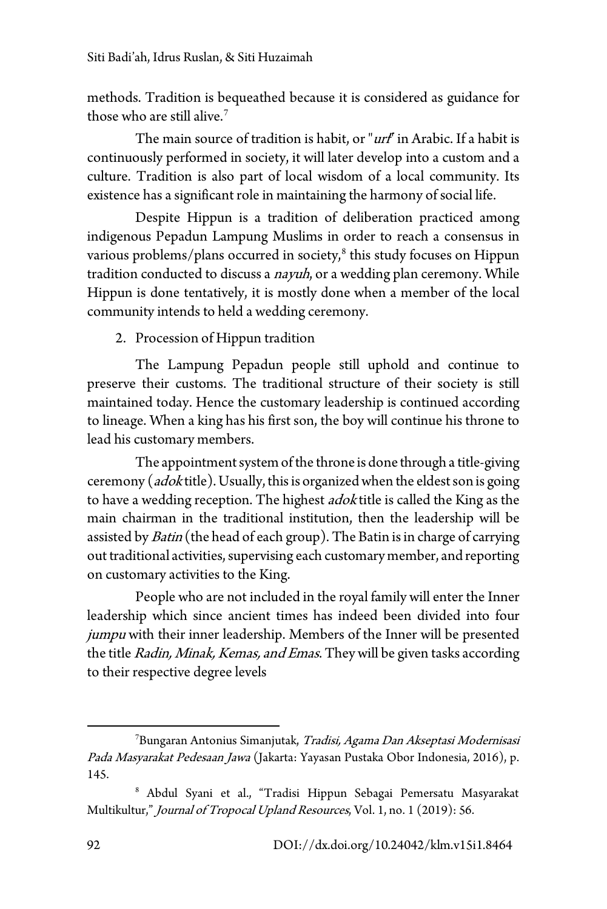methods. Tradition is bequeathed because it is considered as guidance for those who are still alive. [7](#page-5-0)

The main source of tradition is habit, or "urf" in Arabic. If a habit is continuously performed in society, it will later develop into a custom and a culture. Tradition is also part of local wisdom of a local community. Its existence has a significant role in maintaining the harmony of social life.

Despite Hippun is a tradition of deliberation practiced among indigenous Pepadun Lampung Muslims in order to reach a consensus in various problems/plans occurred in society, [8](#page-5-1) this study focuses on Hippun tradition conducted to discuss a *nayuh*, or a wedding plan ceremony. While Hippun is done tentatively, it is mostly done when a member of the local community intends to held a wedding ceremony.

2. Procession of Hippun tradition

The Lampung Pepadun people still uphold and continue to preserve their customs. The traditional structure of their society is still maintained today. Hence the customary leadership is continued according to lineage. When a king has his first son, the boy will continue his throne to lead his customary members.

The appointment system of the throne is done through a title-giving ceremony (*adok* title). Usually, this is organized when the eldest son is going to have a wedding reception. The highest *adok* title is called the King as the main chairman in the traditional institution, then the leadership will be assisted by *Batin* (the head of each group). The Batin is in charge of carrying out traditional activities, supervising each customary member, and reporting on customary activities to the King.

People who are not included in the royal family will enter the Inner leadership which since ancient times has indeed been divided into four jumpu with their inner leadership. Members of the Inner will be presented the title Radin, Minak, Kemas, and Emas. They will be given tasks according to their respective degree levels

<span id="page-5-0"></span><sup>&</sup>lt;sup>7</sup>Bungaran Antonius Simanjutak, *Tradisi, Agama Dan Akseptasi Modernisasi* Pada Masyarakat Pedesaan Jawa (Jakarta: Yayasan Pustaka Obor Indonesia, 2016), p. 145.

<span id="page-5-1"></span><sup>8</sup> Abdul Syani et al., "Tradisi Hippun Sebagai Pemersatu Masyarakat Multikultur," Journal of Tropocal Upland Resources, Vol. 1, no. 1 (2019): 56.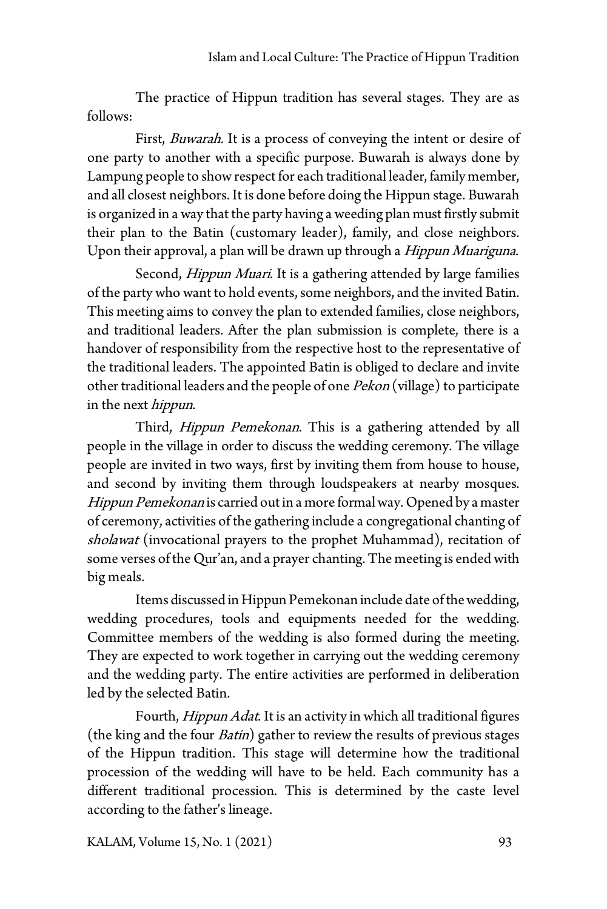The practice of Hippun tradition has several stages. They are as follows:

First, *Buwarah*. It is a process of conveying the intent or desire of one party to another with a specific purpose. Buwarah is always done by Lampung people to show respect for each traditional leader, family member, and all closest neighbors. It is done before doing the Hippun stage. Buwarah is organized in a way that the party having a weeding plan must firstly submit their plan to the Batin (customary leader), family, and close neighbors. Upon their approval, a plan will be drawn up through a *Hippun Muariguna*.

Second, *Hippun Muari*. It is a gathering attended by large families of the party who want to hold events, some neighbors, and the invited Batin. This meeting aims to convey the plan to extended families, close neighbors, and traditional leaders. After the plan submission is complete, there is a handover of responsibility from the respective host to the representative of the traditional leaders. The appointed Batin is obliged to declare and invite other traditional leaders and the people of one Pekon (village) to participate in the next *hippun*.

Third, *Hippun Pemekonan*. This is a gathering attended by all people in the village in order to discuss the wedding ceremony. The village people are invited in two ways, first by inviting them from house to house, and second by inviting them through loudspeakers at nearby mosques. Hippun Pemekonan is carried out in a more formal way. Opened by a master of ceremony, activities of the gathering include a congregational chanting of sholawat (invocational prayers to the prophet Muhammad), recitation of some verses of the Qur'an, and a prayer chanting. The meeting is ended with big meals.

Items discussed in Hippun Pemekonan include date of thewedding, wedding procedures, tools and equipments needed for the wedding. Committee members of the wedding is also formed during the meeting. They are expected to work together in carrying out the wedding ceremony and the wedding party. The entire activities are performed in deliberation led by the selected Batin.

Fourth, Hippun Adat. It is an activity in which all traditional figures (the king and the four  $Batin$ ) gather to review the results of previous stages of the Hippun tradition. This stage will determine how the traditional procession of the wedding will have to be held. Each community has a different traditional procession. This is determined by the caste level according to the father's lineage.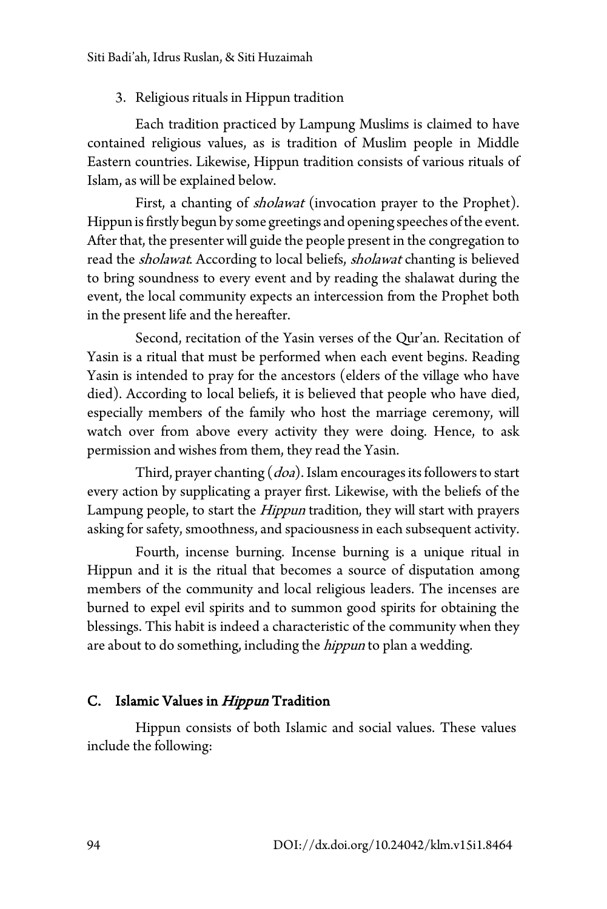### 3. Religious rituals in Hippun tradition

Each tradition practiced by Lampung Muslims is claimed to have contained religious values, as is tradition of Muslim people in Middle Eastern countries. Likewise, Hippun tradition consists of various rituals of Islam, as will be explained below.

First, a chanting of *sholawat* (invocation prayer to the Prophet). Hippun is firstly begun by some greetings and opening speeches of the event. After that, the presenter will guide the people present in the congregation to read the *sholawat*. According to local beliefs, *sholawat* chanting is believed to bring soundness to every event and by reading the shalawat during the event, the local community expects an intercession from the Prophet both in the present life and the hereafter.

Second, recitation of the Yasin verses of the Qur'an. Recitation of Yasin is a ritual that must be performed when each event begins. Reading Yasin is intended to pray for the ancestors (elders of the village who have died). According to local beliefs, it is believed that people who have died, especially members of the family who host the marriage ceremony, will watch over from above every activity they were doing. Hence, to ask permission and wishes from them, they read the Yasin.

Third, prayer chanting  $(doa)$ . Islam encourages its followers to start every action by supplicating a prayer first. Likewise, with the beliefs of the Lampung people, to start the *Hippun* tradition, they will start with prayers asking for safety, smoothness, and spaciousness in each subsequent activity.

Fourth, incense burning. Incense burning is a unique ritual in Hippun and it is the ritual that becomes a source of disputation among members of the community and local religious leaders. The incenses are burned to expel evil spirits and to summon good spirits for obtaining the blessings. This habit is indeed a characteristic of the community when they are about to do something, including the *hippun* to plan a wedding.

## C. Islamic Values in Hippun Tradition

Hippun consists of both Islamic and social values. These values include the following: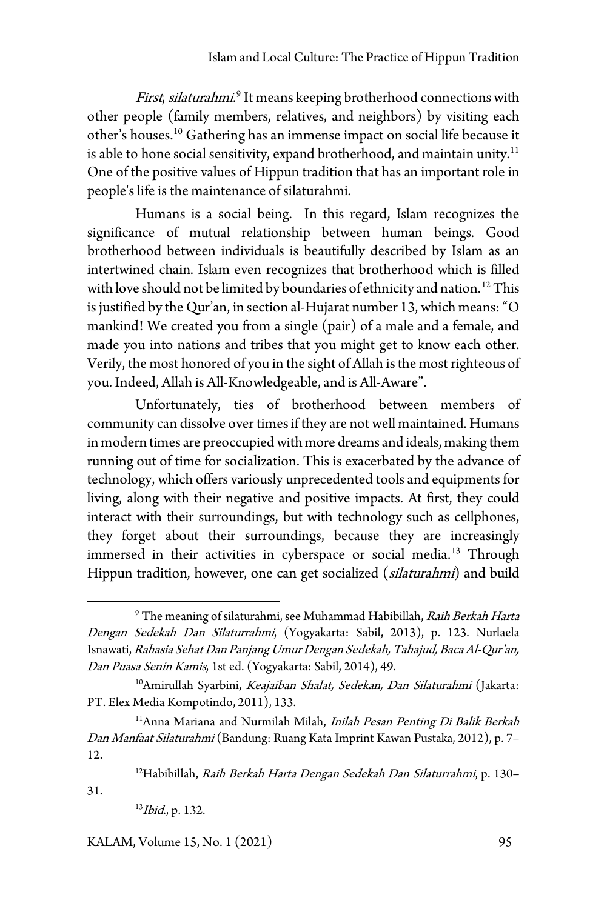First, silaturahmi.<sup>[9](#page-8-0)</sup> It means keeping brotherhood connections with other people (family members, relatives, and neighbors) by visiting each other's houses. [10](#page-8-1) Gathering has an immense impact on social life because it is able to hone social sensitivity, expand brotherhood, and maintain unity. $^{\rm 11}$  $^{\rm 11}$  $^{\rm 11}$ One of the positive values of Hippun tradition that has an important role in people's life is the maintenance of silaturahmi.

Humans is a social being. In this regard, Islam recognizes the significance of mutual relationship between human beings. Good brotherhood between individuals is beautifully described by Islam as an intertwined chain. Islam even recognizes that brotherhood which is filled with love should not be limited by boundaries of ethnicity and nation. [12](#page-8-3) This is justified by the Qur'an, in section al-Hujarat number 13, which means:"O mankind! We created you from a single (pair) of a male and a female, and made you into nations and tribes that you might get to know each other. Verily, the most honored of you in the sight of Allah is the most righteous of you. Indeed, Allah is All-Knowledgeable, and is All-Aware".

Unfortunately, ties of brotherhood between members of community can dissolve over times if they are not well maintained. Humans inmodern times are preoccupied with more dreams and ideals, making them running out of time for socialization. This is exacerbated by the advance of technology, which offers variously unprecedented tools and equipments for living, along with their negative and positive impacts. At first, they could interact with their surroundings, but with technology such as cellphones, they forget about their surroundings, because they are increasingly immersed in their activities in cyberspace or social media. [13](#page-8-4) Through Hippun tradition, however, one can get socialized (silaturahmi) and build

KALAM, Volume 15, No. 1 (2021) 95

<span id="page-8-0"></span><sup>&</sup>lt;sup>9</sup> The meaning of silaturahmi, see Muhammad Habibillah, Raih Berkah Harta Dengan Sedekah Dan Silaturrahmi, (Yogyakarta: Sabil, 2013), p. 123. Nurlaela Isnawati, Rahasia Sehat Dan Panjang Umur Dengan Sedekah, Tahajud, Baca Al-Qur'an, Dan Puasa Senin Kamis, 1st ed. (Yogyakarta: Sabil, 2014), 49.

<span id="page-8-1"></span><sup>&</sup>lt;sup>10</sup>Amirullah Syarbini, Keajaiban Shalat, Sedekan, Dan Silaturahmi (Jakarta: PT. Elex Media Kompotindo, 2011), 133.

<span id="page-8-2"></span><sup>&</sup>lt;sup>11</sup>Anna Mariana and Nurmilah Milah, Inilah Pesan Penting Di Balik Berkah Dan Manfaat Silaturahmi (Bandung: Ruang Kata Imprint Kawan Pustaka, 2012), p. 7– 12.

<sup>12</sup>Habibillah, Raih Berkah Harta Dengan Sedekah Dan Silaturrahmi, p. 130–

<span id="page-8-4"></span><span id="page-8-3"></span><sup>31.</sup>

 $13$ *Ibid.*, p. 132.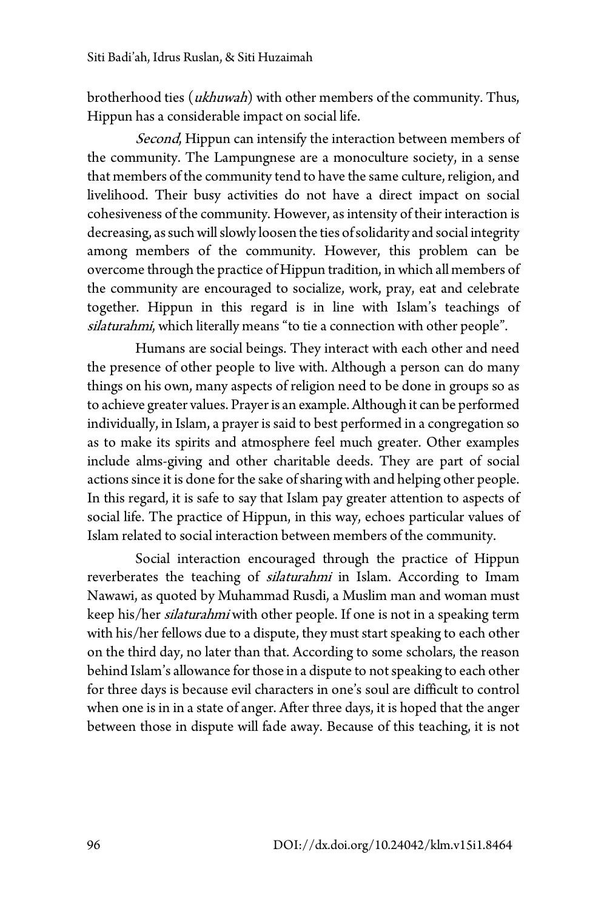brotherhood ties (*ukhuwah*) with other members of the community. Thus, Hippun has a considerable impact on social life.

Second, Hippun can intensify the interaction between members of the community. The Lampungnese are a monoculture society, in a sense that members of the community tend to have the same culture, religion, and livelihood. Their busy activities do not have a direct impact on social cohesiveness of the community. However, as intensity of their interaction is decreasing, as such will slowly loosen the ties ofsolidarity and social integrity among members of the community. However, this problem can be overcome through the practice of Hippun tradition, in which all members of the community are encouraged to socialize, work, pray, eat and celebrate together. Hippun in this regard is in line with Islam's teachings of silaturahmi, which literally means "to tie a connection with other people".

Humans are social beings. They interact with each other and need the presence of other people to live with. Although a person can do many things on his own, many aspects of religion need to be done in groups so as to achieve greater values. Prayer is an example. Although it can be performed individually, in Islam, a prayer is said to best performed in a congregation so as to make its spirits and atmosphere feel much greater. Other examples include alms-giving and other charitable deeds. They are part of social actions since it is done for the sake of sharing with and helping other people. In this regard, it is safe to say that Islam pay greater attention to aspects of social life. The practice of Hippun, in this way, echoes particular values of Islam related to social interaction between members of the community.

Social interaction encouraged through the practice of Hippun reverberates the teaching of *silaturahmi* in Islam. According to Imam Nawawi, as quoted by Muhammad Rusdi, a Muslim man and woman must keep his/her *silaturahmi* with other people. If one is not in a speaking term with his/her fellows due to a dispute, they must start speaking to each other on the third day, no later than that. According to some scholars, the reason behind Islam's allowance for those in a dispute to not speaking to each other for three days is because evil characters in one's soul are difficult to control when one is in in a state of anger. After three days, it is hoped that the anger between those in dispute will fade away. Because of this teaching, it is not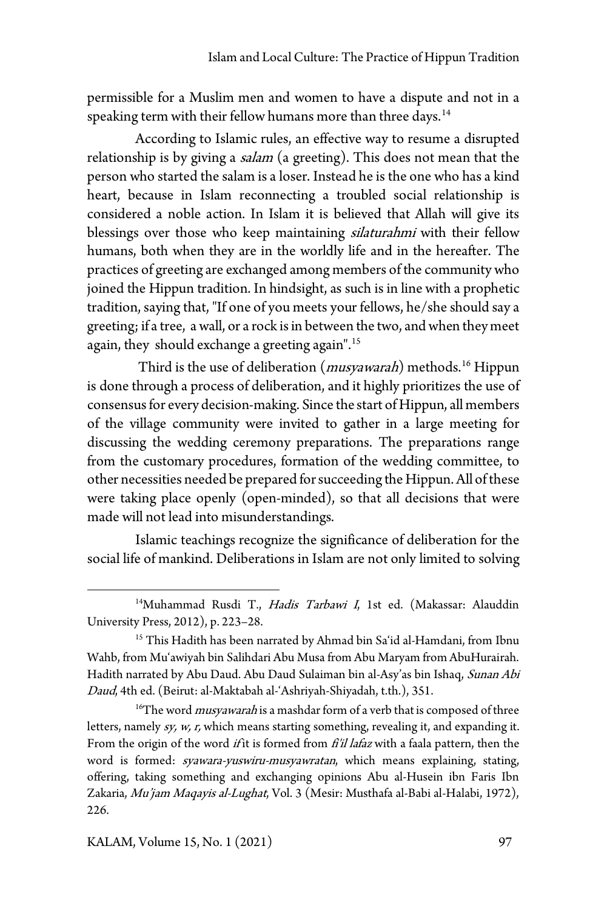permissible for a Muslim men and women to have a dispute and not in a speaking term with their fellow humans more than three days. [14](#page-10-0)

According to Islamic rules, an effective way to resume a disrupted relationship is by giving a *salam* (a greeting). This does not mean that the person who started the salam is a loser. Instead he is the one who has a kind heart, because in Islam reconnecting a troubled social relationship is considered a noble action. In Islam it is believed that Allah will give its blessings over those who keep maintaining *silaturahmi* with their fellow humans, both when they are in the worldly life and in the hereafter. The practices of greeting are exchanged among members of the community who joined the Hippun tradition. In hindsight, as such is in line with a prophetic tradition, saying that, "If one of you meets your fellows, he/she should say a greeting; if a tree, a wall, or a rock is in between the two, and when they meet again, they should exchange a greeting again". [15](#page-10-1)

Third is the use of deliberation (*musyawarah*) methods.<sup>[16](#page-10-2)</sup> Hippun is done through a process of deliberation, and it highly prioritizes the use of consensus for every decision-making. Since the start of Hippun, all members of the village community were invited to gather in a large meeting for discussing the wedding ceremony preparations. The preparations range from the customary procedures, formation of the wedding committee, to other necessities needed be prepared for succeeding the Hippun. All of these were taking place openly (open-minded), so that all decisions that were made will not lead into misunderstandings.

Islamic teachings recognize the significance of deliberation for the social life of mankind. Deliberations in Islam are not only limited to solving

<span id="page-10-0"></span><sup>&</sup>lt;sup>14</sup>Muhammad Rusdi T., Hadis Tarbawi I, 1st ed. (Makassar: Alauddin University Press, 2012), p. 223–28.

<span id="page-10-1"></span><sup>&</sup>lt;sup>15</sup> This Hadith has been narrated by Ahmad bin Sa'id al-Hamdani, from Ibnu Wahb, from Mu'awiyah bin Salihdari Abu Musa from Abu Maryam from AbuHurairah. Hadith narrated by Abu Daud. Abu Daud Sulaiman bin al-Asy'as bin Ishaq, Sunan Abi Daud, 4th ed. (Beirut: al-Maktabah al-'Ashriyah-Shiyadah, t.th.), 351.

<span id="page-10-2"></span> $16$ <sup>16</sup>The word *musyawarah* is a mashdar form of a verb that is composed of three letters, namely sy, w, r, which means starting something, revealing it, and expanding it. From the origin of the word *if* it is formed from *fi'il lafaz* with a faala pattern, then the word is formed: syawara-yuswiru-musyawratan, which means explaining, stating, offering, taking something and exchanging opinions Abu al-Husein ibn Faris Ibn Zakaria, Mu'jam Maqayis al-Lughat, Vol. 3 (Mesir: Musthafa al-Babi al-Halabi, 1972), 226.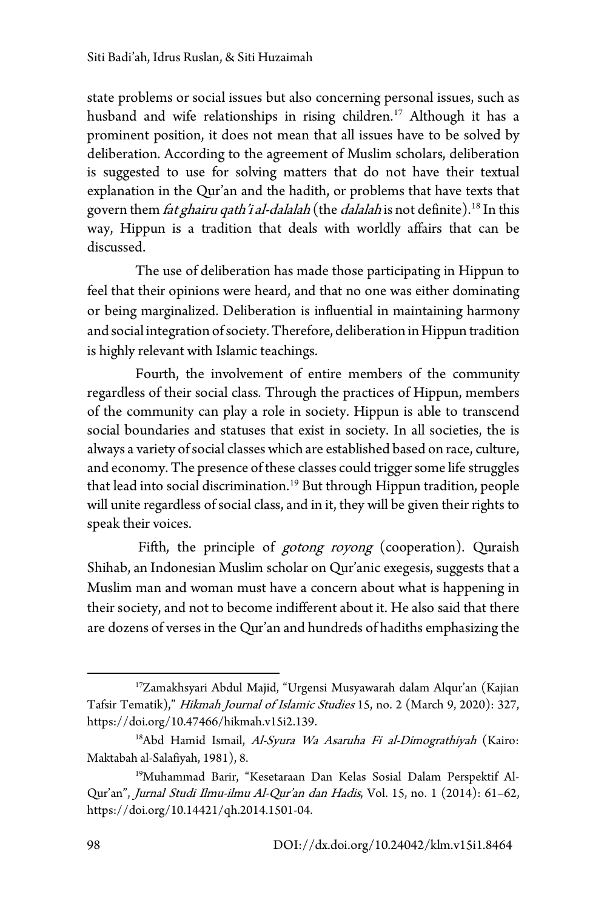state problems or social issues but also concerning personal issues, such as husband and wife relationships in rising children. [17](#page-11-0) Although it has a prominent position, it does not mean that all issues have to be solved by deliberation. According to the agreement of Muslim scholars, deliberation is suggested to use for solving matters that do not have their textual explanation in the Qur'an and the hadith, or problems that have texts that govern them *fat ghairu qath'i al-dalalah* (the *dalalah* is not definite).<sup>[18](#page-11-1)</sup> In this way, Hippun is a tradition that deals with worldly affairs that can be discussed.

The use of deliberation has made those participating in Hippun to feel that their opinions were heard, and that no one was either dominating or being marginalized. Deliberation is influential in maintaining harmony and social integration of society. Therefore, deliberation in Hippun tradition is highly relevant with Islamic teachings.

Fourth, the involvement of entire members of the community regardless of their social class. Through the practices of Hippun, members of the community can play a role in society. Hippun is able to transcend social boundaries and statuses that exist in society. In all societies, the is always a variety of social classes which are established based on race, culture, and economy. The presence of these classes could trigger some life struggles that lead into social discrimination. [19](#page-11-2) But through Hippun tradition, people will unite regardless of social class, and in it, they will be given their rights to speak their voices.

Fifth, the principle of *gotong royong* (cooperation). Quraish Shihab, an Indonesian Muslim scholar on Qur'anic exegesis, suggests that a Muslim man and woman must have a concern about what is happening in their society, and not to become indifferent about it. He also said that there are dozens of versesin the Qur'an and hundreds of hadiths emphasizing the

<span id="page-11-0"></span><sup>&</sup>lt;sup>17</sup>Zamakhsyari Abdul Majid, "Urgensi Musyawarah dalam Alqur'an (Kajian Tafsir Tematik)," Hikmah Journal of Islamic Studies 15, no. 2 (March 9, 2020): 327, https://doi.org/10.47466/hikmah.v15i2.139.

<span id="page-11-1"></span><sup>&</sup>lt;sup>18</sup>Abd Hamid Ismail, Al-Syura Wa Asaruha Fi al-Dimograthiyah (Kairo: Maktabah al-Salafiyah, 1981), 8.

<span id="page-11-2"></span><sup>19</sup>Muhammad Barir, "Kesetaraan Dan Kelas Sosial Dalam Perspektif Al-Qur'an", Jurnal Studi Ilmu-ilmu Al-Qur'an dan Hadis, Vol. 15, no. 1 (2014): 61–62, https://doi.org/10.14421/qh.2014.1501-04.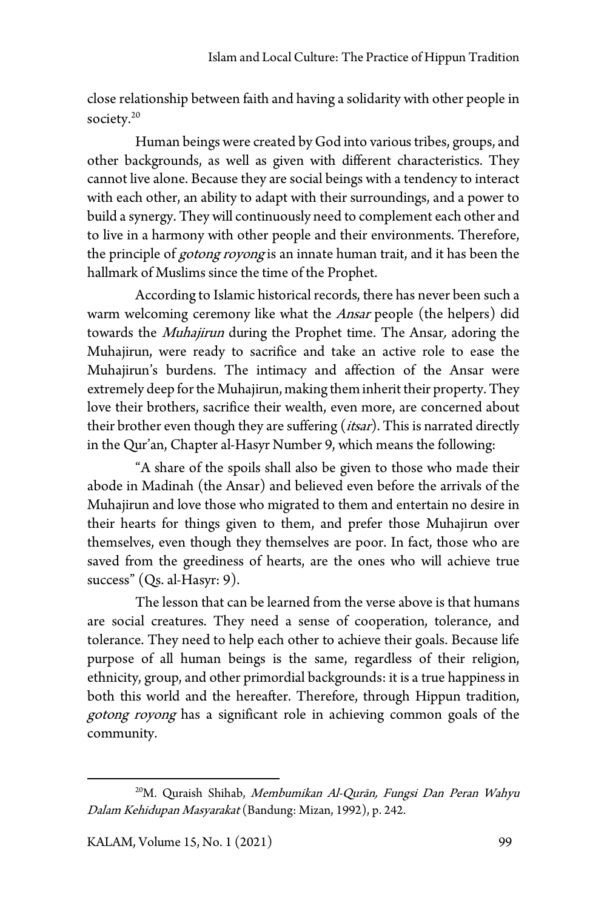close relationship between faith and having a solidarity with other people in society. [20](#page-12-0)

Human beings were created by God into various tribes, groups, and other backgrounds, as well as given with different characteristics. They cannot live alone. Because they are social beings with a tendency to interact with each other, an ability to adapt with their surroundings, and a power to build a synergy. They will continuously need to complement each other and to live in a harmony with other people and their environments. Therefore, the principle of *gotong royong* is an innate human trait, and it has been the hallmark of Muslims since the time of the Prophet.

According to Islamic historical records, there has never been such a warm welcoming ceremony like what the *Ansar* people (the helpers) did towards the *Muhajirun* during the Prophet time. The Ansar, adoring the Muhajirun, were ready to sacrifice and take an active role to ease the Muhajirun's burdens. The intimacy and affection of the Ansar were extremely deep for the Muhajirun, making them inherit their property. They love their brothers, sacrifice their wealth, even more, are concerned about their brother even though they are suffering *(itsar)*. This is narrated directly in the Qur'an, Chapter al-Hasyr Number 9, which means the following:

"A share of the spoils shall also be given to those who made their abode in Madinah (the Ansar) and believed even before the arrivals of the Muhajirun and love those who migrated to them and entertain no desire in their hearts for things given to them, and prefer those Muhajirun over themselves, even though they themselves are poor. In fact, those who are saved from the greediness of hearts, are the ones who will achieve true success" (Qs. al-Hasyr: 9).

The lesson that can be learned from the verse above is that humans are social creatures. They need a sense of cooperation, tolerance, and tolerance. They need to help each other to achieve their goals. Because life purpose of all human beings is the same, regardless of their religion, ethnicity, group, and other primordial backgrounds: it is a true happiness in both this world and the hereafter. Therefore, through Hippun tradition, gotong royong has a significant role in achieving common goals of the community.

<span id="page-12-0"></span><sup>&</sup>lt;sup>20</sup>M. Quraish Shihab, Membumikan Al-Qurān, Fungsi Dan Peran Wahyu Dalam Kehidupan Masyarakat (Bandung: Mizan, 1992), p. 242.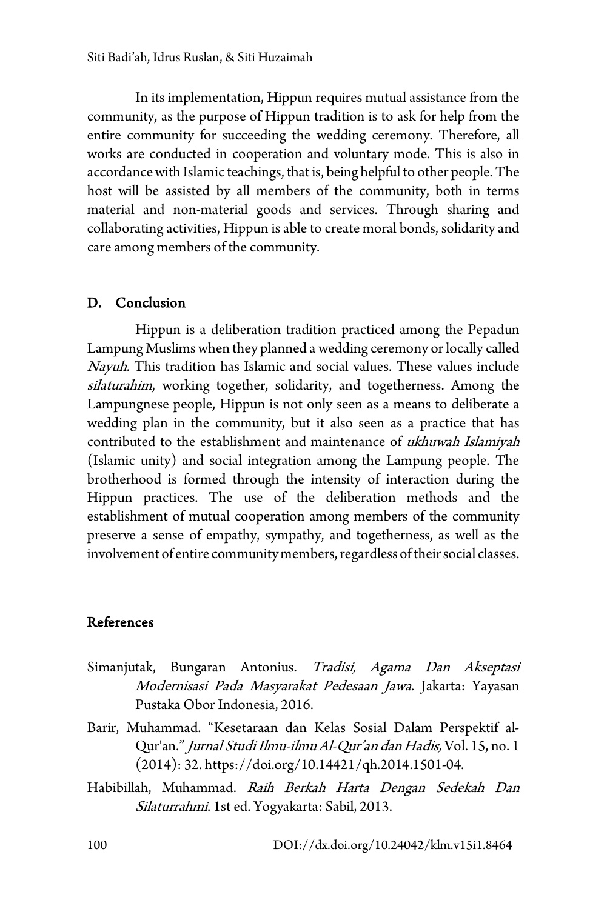In its implementation, Hippun requires mutual assistance from the community, as the purpose of Hippun tradition is to ask for help from the entire community for succeeding the wedding ceremony. Therefore, all works are conducted in cooperation and voluntary mode. This is also in accordance with Islamic teachings, that is, being helpful to other people. The host will be assisted by all members of the community, both in terms material and non-material goods and services. Through sharing and collaborating activities, Hippun is able to create moral bonds, solidarity and care among members of the community.

## D. Conclusion

Hippun is a deliberation tradition practiced among the Pepadun Lampung Muslims when they planned a wedding ceremony or locally called Nayuh. This tradition has Islamic and social values. These values include silaturahim, working together, solidarity, and togetherness. Among the Lampungnese people, Hippun is not only seen as a means to deliberate a wedding plan in the community, but it also seen as a practice that has contributed to the establishment and maintenance of ukhuwah Islamiyah (Islamic unity) and social integration among the Lampung people. The brotherhood is formed through the intensity of interaction during the Hippun practices. The use of the deliberation methods and the establishment of mutual cooperation among members of the community preserve a sense of empathy, sympathy, and togetherness, as well as the involvement of entire community members, regardless of their social classes.

#### References

- Simanjutak, Bungaran Antonius. Tradisi, Agama Dan Akseptasi Modernisasi Pada Masyarakat Pedesaan Jawa. Jakarta: Yayasan Pustaka Obor Indonesia, 2016.
- Barir, Muhammad. "Kesetaraan dan Kelas Sosial Dalam Perspektif al-Qur'an." Jurnal Studi Ilmu-ilmu Al-Qur'an dan Hadis, Vol. 15, no. 1 (2014): 32. https://doi.org/10.14421/qh.2014.1501-04.
- Habibillah, Muhammad. Raih Berkah Harta Dengan Sedekah Dan Silaturrahmi. 1st ed. Yogyakarta: Sabil, 2013.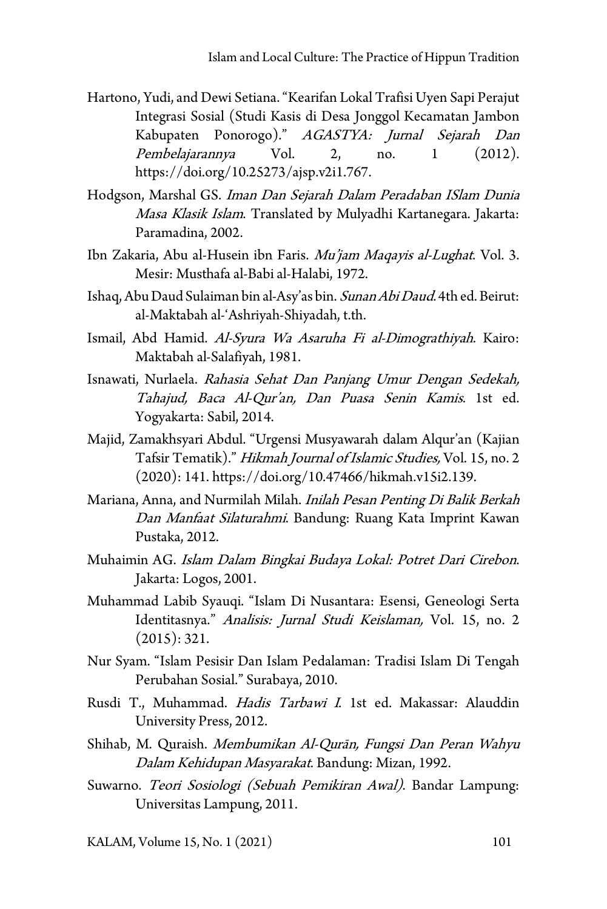- Hartono, Yudi, and Dewi Setiana. "Kearifan Lokal Trafisi Uyen Sapi Perajut Integrasi Sosial (Studi Kasis di Desa Jonggol Kecamatan Jambon Kabupaten Ponorogo)." AGASTYA: Jurnal Sejarah Dan Pembelajarannya Vol. 2, no. 1 (2012). https://doi.org/10.25273/ajsp.v2i1.767.
- Hodgson, Marshal GS. Iman Dan Sejarah Dalam Peradaban ISlam Dunia Masa Klasik Islam. Translated by Mulyadhi Kartanegara. Jakarta: Paramadina, 2002.
- Ibn Zakaria, Abu al-Husein ibn Faris. Mu'jam Magayis al-Lughat. Vol. 3. Mesir: Musthafa al-Babi al-Halabi, 1972.
- Ishaq, Abu Daud Sulaiman bin al-Asy'as bin. Sunan Abi Daud. 4th ed. Beirut: al-Maktabah al-'Ashriyah-Shiyadah, t.th.
- Ismail, Abd Hamid. Al-Syura Wa Asaruha Fi al-Dimograthiyah. Kairo: Maktabah al-Salafiyah, 1981.
- Isnawati, Nurlaela. Rahasia Sehat Dan Panjang Umur Dengan Sedekah, Tahajud, Baca Al-Qur'an, Dan Puasa Senin Kamis. 1st ed. Yogyakarta: Sabil, 2014.
- Majid, Zamakhsyari Abdul. "Urgensi Musyawarah dalam Alqur'an (Kajian Tafsir Tematik)." Hikmah Journal of Islamic Studies, Vol. 15, no. 2 (2020): 141. https://doi.org/10.47466/hikmah.v15i2.139.
- Mariana, Anna, and Nurmilah Milah. Inilah Pesan Penting Di Balik Berkah Dan Manfaat Silaturahmi. Bandung: Ruang Kata Imprint Kawan Pustaka, 2012.
- Muhaimin AG. Islam Dalam Bingkai Budaya Lokal: Potret Dari Cirebon. Jakarta: Logos, 2001.
- Muhammad Labib Syauqi. "Islam Di Nusantara: Esensi, Geneologi Serta Identitasnya." Analisis: Jurnal Studi Keislaman, Vol. 15, no. 2 (2015): 321.
- Nur Syam. "Islam Pesisir Dan Islam Pedalaman: Tradisi Islam Di Tengah Perubahan Sosial." Surabaya, 2010.
- Rusdi T., Muhammad. Hadis Tarbawi I. 1st ed. Makassar: Alauddin University Press, 2012.
- Shihab, M. Quraish. Membumikan Al-Qurān, Fungsi Dan Peran Wahyu Dalam Kehidupan Masyarakat. Bandung: Mizan, 1992.
- Suwarno. Teori Sosiologi (Sebuah Pemikiran Awal). Bandar Lampung: Universitas Lampung, 2011.

KALAM, Volume 15, No. 1 (2021) 101